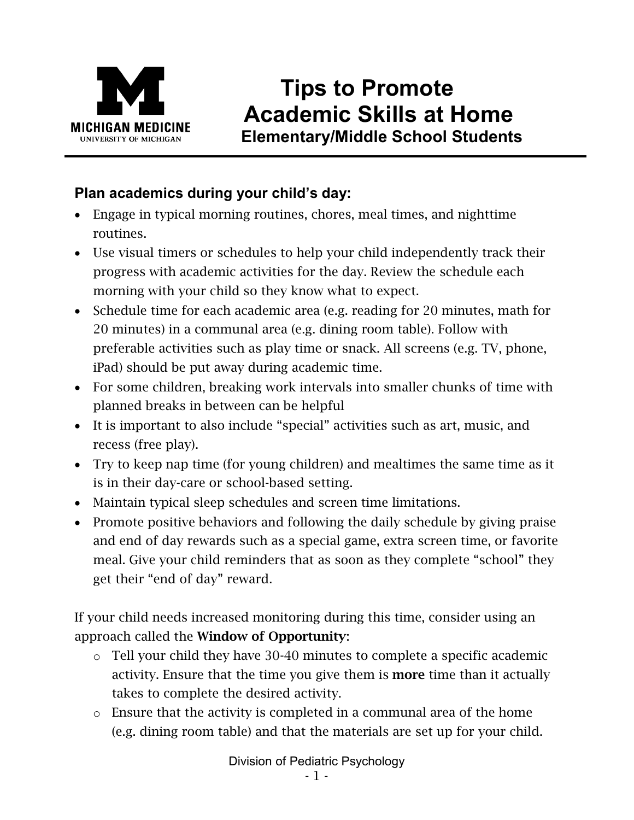

# **Tips to Promote Academic Skills at Home Elementary/Middle School Students**

# **Plan academics during your child's day:**

- Engage in typical morning routines, chores, meal times, and nighttime routines.
- Use visual timers or schedules to help your child independently track their progress with academic activities for the day. Review the schedule each morning with your child so they know what to expect.
- Schedule time for each academic area (e.g. reading for 20 minutes, math for 20 minutes) in a communal area (e.g. dining room table). Follow with preferable activities such as play time or snack. All screens (e.g. TV, phone, iPad) should be put away during academic time.
- For some children, breaking work intervals into smaller chunks of time with planned breaks in between can be helpful
- It is important to also include "special" activities such as art, music, and recess (free play).
- Try to keep nap time (for young children) and mealtimes the same time as it is in their day-care or school-based setting.
- Maintain typical sleep schedules and screen time limitations.
- Promote positive behaviors and following the daily schedule by giving praise and end of day rewards such as a special game, extra screen time, or favorite meal. Give your child reminders that as soon as they complete "school" they get their "end of day" reward.

If your child needs increased monitoring during this time, consider using an approach called the Window of Opportunity:

- o Tell your child they have 30-40 minutes to complete a specific academic activity. Ensure that the time you give them is **more** time than it actually takes to complete the desired activity.
- o Ensure that the activity is completed in a communal area of the home (e.g. dining room table) and that the materials are set up for your child.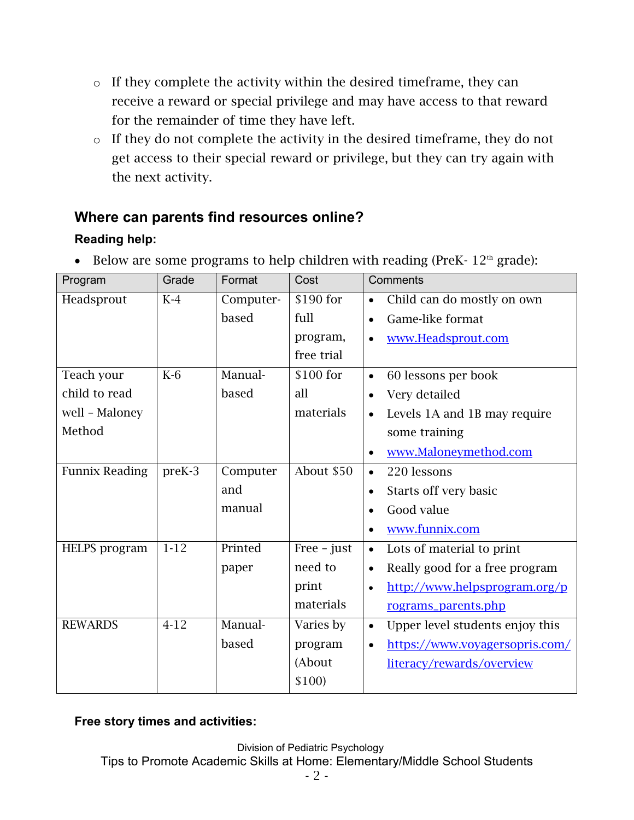- o If they complete the activity within the desired timeframe, they can receive a reward or special privilege and may have access to that reward for the remainder of time they have left.
- o If they do not complete the activity in the desired timeframe, they do not get access to their special reward or privilege, but they can try again with the next activity.

## **Where can parents find resources online?**

# **Reading help:**

| Program               | Grade  | Format    | Cost          | Comments                                     |
|-----------------------|--------|-----------|---------------|----------------------------------------------|
| Headsprout            | $K-4$  | Computer- | \$190 for     | Child can do mostly on own<br>$\bullet$      |
|                       |        | based     | full          | Game-like format<br>$\bullet$                |
|                       |        |           | program,      | www.Headsprout.com                           |
|                       |        |           | free trial    |                                              |
| Teach your            | $K-6$  | Manual-   | \$100 for     | 60 lessons per book<br>$\bullet$             |
| child to read         |        | based     | all           | Very detailed                                |
| well - Maloney        |        |           | materials     | Levels 1A and 1B may require                 |
| Method                |        |           |               | some training                                |
|                       |        |           |               | www.Maloneymethod.com                        |
| <b>Funnix Reading</b> | preK-3 | Computer  | About \$50    | 220 lessons<br>$\bullet$                     |
|                       |        | and       |               | Starts off very basic<br>$\bullet$           |
|                       |        | manual    |               | Good value                                   |
|                       |        |           |               | www.funnix.com<br>$\bullet$                  |
| <b>HELPS</b> program  | $1-12$ | Printed   | $Free - just$ | Lots of material to print<br>$\bullet$       |
|                       |        | paper     | need to       | Really good for a free program<br>$\bullet$  |
|                       |        |           | print         | http://www.helpsprogram.org/p                |
|                       |        |           | materials     | rograms_parents.php                          |
| <b>REWARDS</b>        | $4-12$ | Manual-   | Varies by     | Upper level students enjoy this<br>$\bullet$ |
|                       |        | based     | program       | https://www.voyagersopris.com/<br>$\bullet$  |
|                       |        |           | (About        | literacy/rewards/overview                    |
|                       |        |           | \$100)        |                                              |

• Below are some programs to help children with reading (PreK-  $12<sup>th</sup>$  grade):

## **Free story times and activities:**

Division of Pediatric Psychology Tips to Promote Academic Skills at Home: Elementary/Middle School Students